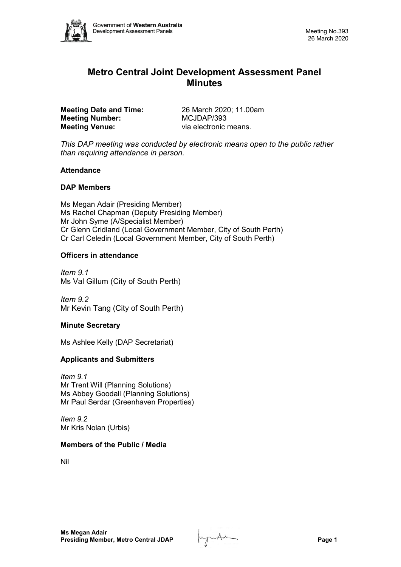

# **Metro Central Joint Development Assessment Panel Minutes**

**Meeting Date and Time:** 26 March 2020; 11.00am<br> **Meeting Number:** MCJDAP/393 **Meeting Number: Meeting Venue:** via electronic means.

*This DAP meeting was conducted by electronic means open to the public rather than requiring attendance in person.*

## **Attendance**

## **DAP Members**

Ms Megan Adair (Presiding Member) Ms Rachel Chapman (Deputy Presiding Member) Mr John Syme (A/Specialist Member) Cr Glenn Cridland (Local Government Member, City of South Perth) Cr Carl Celedin (Local Government Member, City of South Perth)

## **Officers in attendance**

*Item 9.1* Ms Val Gillum (City of South Perth)

*Item 9.2* Mr Kevin Tang (City of South Perth)

## **Minute Secretary**

Ms Ashlee Kelly (DAP Secretariat)

#### **Applicants and Submitters**

*Item 9.1* Mr Trent Will (Planning Solutions) Ms Abbey Goodall (Planning Solutions) Mr Paul Serdar (Greenhaven Properties)

*Item 9.2* Mr Kris Nolan (Urbis)

#### **Members of the Public / Media**

Nil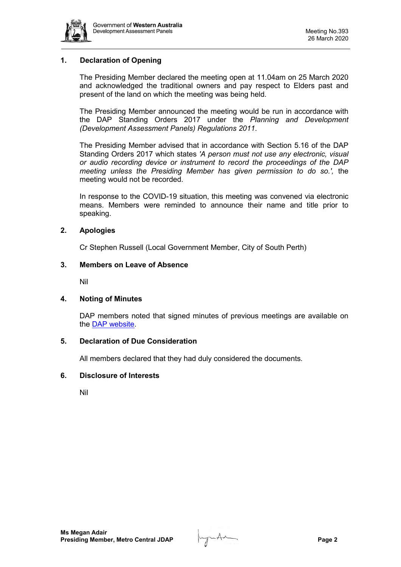

## **1. Declaration of Opening**

The Presiding Member declared the meeting open at 11.04am on 25 March 2020 and acknowledged the traditional owners and pay respect to Elders past and present of the land on which the meeting was being held.

The Presiding Member announced the meeting would be run in accordance with the DAP Standing Orders 2017 under the *Planning and Development (Development Assessment Panels) Regulations 2011*.

The Presiding Member advised that in accordance with Section 5.16 of the DAP Standing Orders 2017 which states *'A person must not use any electronic, visual or audio recording device or instrument to record the proceedings of the DAP meeting unless the Presiding Member has given permission to do so.',* the meeting would not be recorded.

In response to the COVID-19 situation, this meeting was convened via electronic means. Members were reminded to announce their name and title prior to speaking.

## **2. Apologies**

Cr Stephen Russell (Local Government Member, City of South Perth)

## **3. Members on Leave of Absence**

Nil

#### **4. Noting of Minutes**

DAP members noted that signed minutes of previous meetings are available on the [DAP website.](https://www.dplh.wa.gov.au/about/development-assessment-panels/daps-agendas-and-minutes)

#### **5. Declaration of Due Consideration**

All members declared that they had duly considered the documents.

#### **6. Disclosure of Interests**

Nil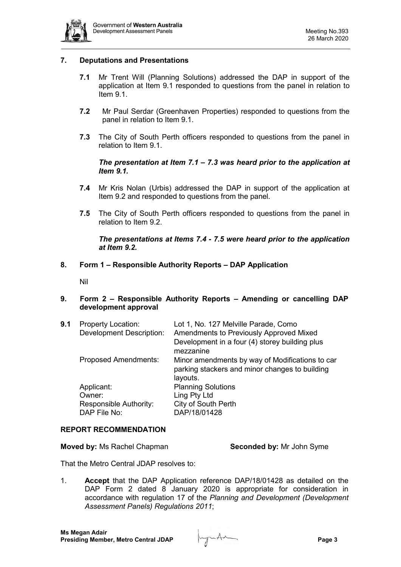

## **7. Deputations and Presentations**

- **7.1** Mr Trent Will (Planning Solutions) addressed the DAP in support of the application at Item 9.1 responded to questions from the panel in relation to Item 9.1
- **7.2** Mr Paul Serdar (Greenhaven Properties) responded to questions from the panel in relation to Item 9.1.
- **7.3** The City of South Perth officers responded to questions from the panel in relation to Item 9.1.

## *The presentation at Item 7.1 – 7.3 was heard prior to the application at Item 9.1.*

- **7.4** Mr Kris Nolan (Urbis) addressed the DAP in support of the application at Item 9.2 and responded to questions from the panel.
- **7.5** The City of South Perth officers responded to questions from the panel in relation to Item 9.2.

## *The presentations at Items 7.4 - 7.5 were heard prior to the application at Item 9.2.*

## **8. Form 1 – Responsible Authority Reports – DAP Application**

Nil

## **9. Form 2 – Responsible Authority Reports – Amending or cancelling DAP development approval**

| 9.1 | <b>Property Location:</b><br><b>Development Description:</b>   | Lot 1, No. 127 Melville Parade, Como<br>Amendments to Previously Approved Mixed<br>Development in a four (4) storey building plus<br>mezzanine |
|-----|----------------------------------------------------------------|------------------------------------------------------------------------------------------------------------------------------------------------|
|     | <b>Proposed Amendments:</b>                                    | Minor amendments by way of Modifications to car<br>parking stackers and minor changes to building<br>layouts.                                  |
|     | Applicant:<br>Owner:<br>Responsible Authority:<br>DAP File No: | <b>Planning Solutions</b><br>Ling Pty Ltd<br>City of South Perth<br>DAP/18/01428                                                               |

#### **REPORT RECOMMENDATION**

**Moved by:** Ms Rachel Chapman **Seconded by:** Mr John Syme

That the Metro Central JDAP resolves to:

1. **Accept** that the DAP Application reference DAP/18/01428 as detailed on the DAP Form 2 dated 8 January 2020 is appropriate for consideration in accordance with regulation 17 of the *Planning and Development (Development Assessment Panels) Regulations 2011*;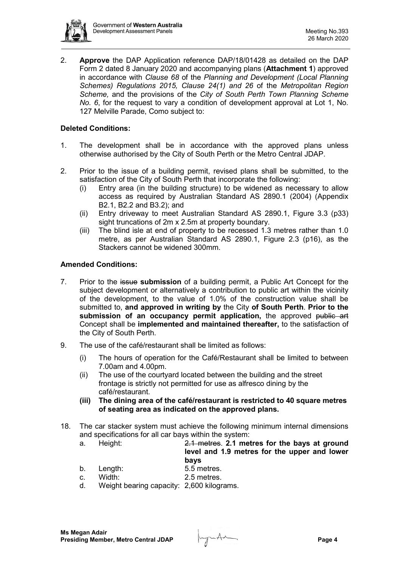

2. **Approve** the DAP Application reference DAP/18/01428 as detailed on the DAP Form 2 dated 8 January 2020 and accompanying plans (**Attachment 1**) approved in accordance with *Clause 68* of the *Planning and Development (Local Planning Schemes) Regulations 2015, Clause 24(1) and 26* of the *Metropolitan Region Scheme,* and the provisions of the *City of South Perth Town Planning Scheme No. 6*, for the request to vary a condition of development approval at Lot 1, No. 127 Melville Parade, Como subject to:

## **Deleted Conditions:**

- 1. The development shall be in accordance with the approved plans unless otherwise authorised by the City of South Perth or the Metro Central JDAP.
- 2. Prior to the issue of a building permit, revised plans shall be submitted, to the satisfaction of the City of South Perth that incorporate the following:
	- (i) Entry area (in the building structure) to be widened as necessary to allow access as required by Australian Standard AS 2890.1 (2004) (Appendix B2.1, B2.2 and B3.2); and
	- (ii) Entry driveway to meet Australian Standard AS 2890.1, Figure 3.3 (p33) sight truncations of 2m x 2.5m at property boundary.
	- (iii) The blind isle at end of property to be recessed 1.3 metres rather than 1.0 metre, as per Australian Standard AS 2890.1, Figure 2.3 (p16), as the Stackers cannot be widened 300mm.

## **Amended Conditions:**

- 7. Prior to the issue **submission** of a building permit, a Public Art Concept for the subject development or alternatively a contribution to public art within the vicinity of the development, to the value of 1.0% of the construction value shall be submitted to, **and approved in writing by** the City **of South Perth**. **Prior to the**  submission of an occupancy permit application, the approved public art Concept shall be **implemented and maintained thereafter,** to the satisfaction of the City of South Perth.
- 9. The use of the café/restaurant shall be limited as follows:
	- (i) The hours of operation for the Café/Restaurant shall be limited to between 7.00am and 4.00pm.
	- (ii) The use of the courtyard located between the building and the street frontage is strictly not permitted for use as alfresco dining by the café/restaurant.
	- **(iii) The dining area of the café/restaurant is restricted to 40 square metres of seating area as indicated on the approved plans.**
- 18. The car stacker system must achieve the following minimum internal dimensions and specifications for all car bays within the system:
	- a. Height: 2.1 metres. **2.1 metres for the bays at ground level and 1.9 metres for the upper and lower bays**
	- b. Length: 5.5 metres.<br>c. Width: 2.5 metres.
	- c. Width: 2.5 metres.
	- d. Weight bearing capacity: 2,600 kilograms.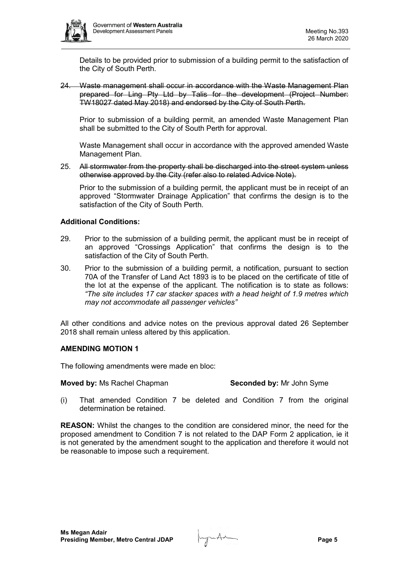

Details to be provided prior to submission of a building permit to the satisfaction of the City of South Perth.

24. Waste management shall occur in accordance with the Waste Management Plan prepared for Ling Pty Ltd by Talis for the development (Project Number: TW18027 dated May 2018) and endorsed by the City of South Perth.

Prior to submission of a building permit, an amended Waste Management Plan shall be submitted to the City of South Perth for approval.

Waste Management shall occur in accordance with the approved amended Waste Management Plan.

25. All stormwater from the property shall be discharged into the street system unless otherwise approved by the City (refer also to related Advice Note).

Prior to the submission of a building permit, the applicant must be in receipt of an approved "Stormwater Drainage Application" that confirms the design is to the satisfaction of the City of South Perth.

## **Additional Conditions:**

- 29. Prior to the submission of a building permit, the applicant must be in receipt of an approved "Crossings Application" that confirms the design is to the satisfaction of the City of South Perth.
- 30. Prior to the submission of a building permit, a notification, pursuant to section 70A of the Transfer of Land Act 1893 is to be placed on the certificate of title of the lot at the expense of the applicant. The notification is to state as follows: *"The site includes 17 car stacker spaces with a head height of 1.9 metres which may not accommodate all passenger vehicles"*

All other conditions and advice notes on the previous approval dated 26 September 2018 shall remain unless altered by this application.

#### **AMENDING MOTION 1**

The following amendments were made en bloc:

#### **Moved by:** Ms Rachel Chapman **Seconded by:** Mr John Syme

(i) That amended Condition 7 be deleted and Condition 7 from the original determination be retained.

**REASON:** Whilst the changes to the condition are considered minor, the need for the proposed amendment to Condition 7 is not related to the DAP Form 2 application, ie it is not generated by the amendment sought to the application and therefore it would not be reasonable to impose such a requirement.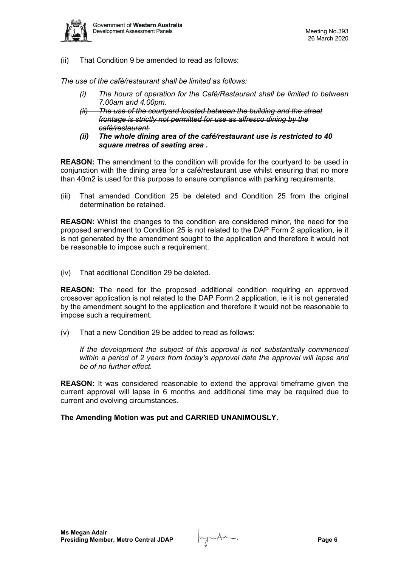

(ii) That Condition 9 be amended to read as follows:

*The use of the café/restaurant shall be limited as follows:*

- *(i) The hours of operation for the Café/Restaurant shall be limited to between 7.00am and 4.00pm.*
- *(ii) The use of the courtyard located between the building and the street frontage is strictly not permitted for use as alfresco dining by the café/restaurant.*
- *(ii) The whole dining area of the café/restaurant use is restricted to 40 square metres of seating area .*

**REASON:** The amendment to the condition will provide for the courtyard to be used in conjunction with the dining area for a café/restaurant use whilst ensuring that no more than 40m2 is used for this purpose to ensure compliance with parking requirements.

(iii) That amended Condition 25 be deleted and Condition 25 from the original determination be retained.

**REASON:** Whilst the changes to the condition are considered minor, the need for the proposed amendment to Condition 25 is not related to the DAP Form 2 application, ie it is not generated by the amendment sought to the application and therefore it would not be reasonable to impose such a requirement.

(iv) That additional Condition 29 be deleted.

**REASON:** The need for the proposed additional condition requiring an approved crossover application is not related to the DAP Form 2 application, ie it is not generated by the amendment sought to the application and therefore it would not be reasonable to impose such a requirement.

(v) That a new Condition 29 be added to read as follows:

*If the development the subject of this approval is not substantially commenced within a period of 2 years from today's approval date the approval will lapse and be of no further effect.*

**REASON:** It was considered reasonable to extend the approval timeframe given the current approval will lapse in 6 months and additional time may be required due to current and evolving circumstances.

## **The Amending Motion was put and CARRIED UNANIMOUSLY.**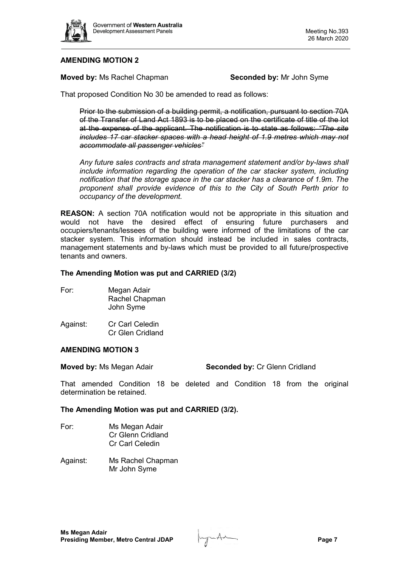

## **AMENDING MOTION 2**

**Moved by:** Ms Rachel Chapman **Seconded by:** Mr John Syme

That proposed Condition No 30 be amended to read as follows:

Prior to the submission of a building permit, a notification, pursuant to section 70A of the Transfer of Land Act 1893 is to be placed on the certificate of title of the lot at the expense of the applicant. The notification is to state as follows: *"The site includes 17 car stacker spaces with a head height of 1.9 metres which may not accommodate all passenger vehicles"*

*Any future sales contracts and strata management statement and/or by-laws shall include information regarding the operation of the car stacker system, including notification that the storage space in the car stacker has a clearance of 1.9m. The proponent shall provide evidence of this to the City of South Perth prior to occupancy of the development.* 

**REASON:** A section 70A notification would not be appropriate in this situation and would not have the desired effect of ensuring future purchasers and occupiers/tenants/lessees of the building were informed of the limitations of the car stacker system. This information should instead be included in sales contracts, management statements and by-laws which must be provided to all future/prospective tenants and owners.

## **The Amending Motion was put and CARRIED (3/2)**

| For: | Megan Adair    |
|------|----------------|
|      | Rachel Chapman |
|      | John Syme      |
|      |                |

Against: Cr Carl Celedin Cr Glen Cridland

### **AMENDING MOTION 3**

**Moved by:** Ms Megan Adair **Seconded by:** Cr Glenn Cridland

That amended Condition 18 be deleted and Condition 18 from the original determination be retained.

#### **The Amending Motion was put and CARRIED (3/2).**

- For: Ms Megan Adair Cr Glenn Cridland Cr Carl Celedin
- Against: Ms Rachel Chapman Mr John Syme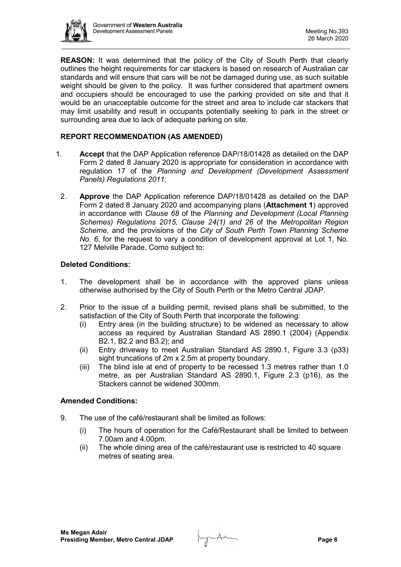

**REASON:** It was determined that the policy of the City of South Perth that clearly outlines the height requirements for car stackers is based on research of Australian car standards and will ensure that cars will be not be damaged during use, as such suitable weight should be given to the policy. It was further considered that apartment owners and occupiers should be encouraged to use the parking provided on site and that it would be an unacceptable outcome for the street and area to include car stackers that may limit usability and result in occupants potentially seeking to park in the street or surrounding area due to lack of adequate parking on site.

## **REPORT RECOMMENDATION (AS AMENDED)**

- 1. **Accept** that the DAP Application reference DAP/18/01428 as detailed on the DAP Form 2 dated 8 January 2020 is appropriate for consideration in accordance with regulation 17 of the *Planning and Development (Development Assessment Panels) Regulations 2011*;
	- 2. **Approve** the DAP Application reference DAP/18/01428 as detailed on the DAP Form 2 dated 8 January 2020 and accompanying plans (**Attachment 1**) approved in accordance with *Clause 68* of the *Planning and Development (Local Planning Schemes) Regulations 2015, Clause 24(1) and 26* of the *Metropolitan Region Scheme,* and the provisions of the *City of South Perth Town Planning Scheme No. 6*, for the request to vary a condition of development approval at Lot 1, No. 127 Melville Parade, Como subject to:

## **Deleted Conditions:**

- 1. The development shall be in accordance with the approved plans unless otherwise authorised by the City of South Perth or the Metro Central JDAP.
- 2. Prior to the issue of a building permit, revised plans shall be submitted, to the satisfaction of the City of South Perth that incorporate the following:
	- (i) Entry area (in the building structure) to be widened as necessary to allow access as required by Australian Standard AS 2890.1 (2004) (Appendix B2.1, B2.2 and B3.2); and
	- (ii) Entry driveway to meet Australian Standard AS 2890.1, Figure 3.3 (p33) sight truncations of 2m x 2.5m at property boundary.
	- (iii) The blind isle at end of property to be recessed 1.3 metres rather than 1.0 metre, as per Australian Standard AS 2890.1, Figure 2.3 (p16), as the Stackers cannot be widened 300mm.

## **Amended Conditions:**

- 9. The use of the café/restaurant shall be limited as follows:
	- (i) The hours of operation for the Café/Restaurant shall be limited to between 7.00am and 4.00pm.
	- (ii) The whole dining area of the café/restaurant use is restricted to 40 square metres of seating area.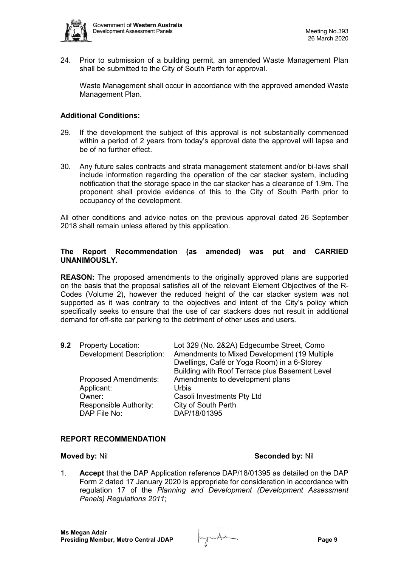

24. Prior to submission of a building permit, an amended Waste Management Plan shall be submitted to the City of South Perth for approval.

Waste Management shall occur in accordance with the approved amended Waste Management Plan.

## **Additional Conditions:**

- 29. If the development the subject of this approval is not substantially commenced within a period of 2 years from today's approval date the approval will lapse and be of no further effect.
- 30. Any future sales contracts and strata management statement and/or bi-laws shall include information regarding the operation of the car stacker system, including notification that the storage space in the car stacker has a clearance of 1.9m. The proponent shall provide evidence of this to the City of South Perth prior to occupancy of the development.

All other conditions and advice notes on the previous approval dated 26 September 2018 shall remain unless altered by this application.

## **The Report Recommendation (as amended) was put and CARRIED UNANIMOUSLY.**

**REASON:** The proposed amendments to the originally approved plans are supported on the basis that the proposal satisfies all of the relevant Element Objectives of the R-Codes (Volume 2), however the reduced height of the car stacker system was not supported as it was contrary to the objectives and intent of the City's policy which specifically seeks to ensure that the use of car stackers does not result in additional demand for off-site car parking to the detriment of other uses and users.

| 9.2 | <b>Property Location:</b>       | Lot 329 (No. 2&2A) Edgecumbe Street, Como      |
|-----|---------------------------------|------------------------------------------------|
|     | <b>Development Description:</b> | Amendments to Mixed Development (19 Multiple   |
|     |                                 | Dwellings, Café or Yoga Room) in a 6-Storey    |
|     |                                 | Building with Roof Terrace plus Basement Level |
|     | <b>Proposed Amendments:</b>     | Amendments to development plans                |
|     | Applicant:                      | <b>Urbis</b>                                   |
|     | Owner:                          | Casoli Investments Pty Ltd                     |
|     | Responsible Authority:          | City of South Perth                            |
|     | DAP File No:                    | DAP/18/01395                                   |

## **REPORT RECOMMENDATION**

#### **Moved by:** Nil **Seconded by:** Nil

1. **Accept** that the DAP Application reference DAP/18/01395 as detailed on the DAP Form 2 dated 17 January 2020 is appropriate for consideration in accordance with regulation 17 of the *Planning and Development (Development Assessment Panels) Regulations 2011*;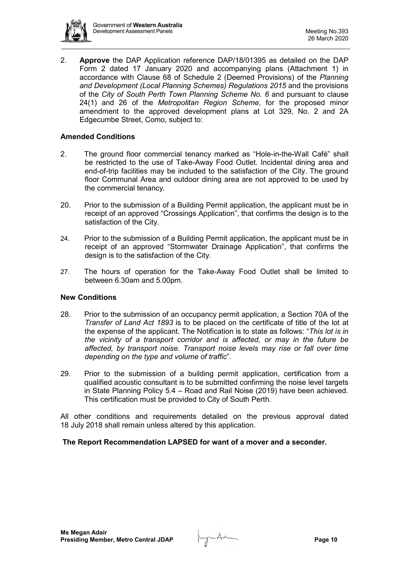

2. **Approve** the DAP Application reference DAP/18/01395 as detailed on the DAP Form 2 dated 17 January 2020 and accompanying plans (Attachment 1) in accordance with Clause 68 of Schedule 2 (Deemed Provisions) of the *Planning and Development (Local Planning Schemes) Regulations 2015* and the provisions of the *City of South Perth Town Planning Scheme No. 6* and pursuant to clause 24(1) and 26 of the *Metropolitan Region Scheme*, for the proposed minor amendment to the approved development plans at Lot 329, No. 2 and 2A Edgecumbe Street, Como, subject to:

## **Amended Conditions**

- 2. The ground floor commercial tenancy marked as "Hole-in-the-Wall Café" shall be restricted to the use of Take-Away Food Outlet. Incidental dining area and end-of-trip facilities may be included to the satisfaction of the City. The ground floor Communal Area and outdoor dining area are not approved to be used by the commercial tenancy.
- 20. Prior to the submission of a Building Permit application, the applicant must be in receipt of an approved "Crossings Application", that confirms the design is to the satisfaction of the City.
- 24. Prior to the submission of a Building Permit application, the applicant must be in receipt of an approved "Stormwater Drainage Application", that confirms the design is to the satisfaction of the City.
- 27. The hours of operation for the Take-Away Food Outlet shall be limited to between 6.30am and 5.00pm.

#### **New Conditions**

- 28. Prior to the submission of an occupancy permit application, a Section 70A of the *Transfer of Land Act 1893* is to be placed on the certificate of title of the lot at the expense of the applicant. The Notification is to state as follows: "*This lot is in the vicinity of a transport corridor and is affected, or may in the future be affected, by transport noise. Transport noise levels may rise or fall over time depending on the type and volume of traffic*".
- 29. Prior to the submission of a building permit application, certification from a qualified acoustic consultant is to be submitted confirming the noise level targets in State Planning Policy 5.4 – Road and Rail Noise (2019) have been achieved. This certification must be provided to City of South Perth.

All other conditions and requirements detailed on the previous approval dated 18 July 2018 shall remain unless altered by this application.

#### **The Report Recommendation LAPSED for want of a mover and a seconder.**